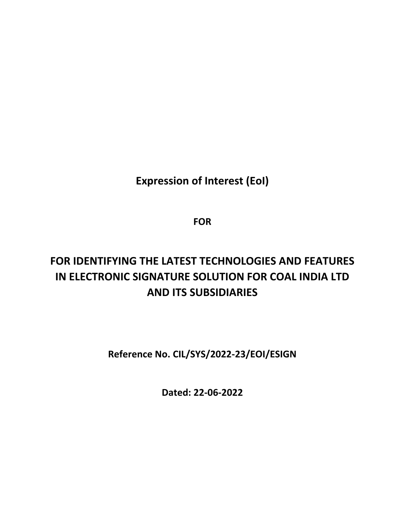**Expression of Interest (EoI)**

**FOR**

# **FOR IDENTIFYING THE LATEST TECHNOLOGIES AND FEATURES IN ELECTRONIC SIGNATURE SOLUTION FOR COAL INDIA LTD AND ITS SUBSIDIARIES**

**Reference No. CIL/SYS/2022-23/EOI/ESIGN**

**Dated: 22-06-2022**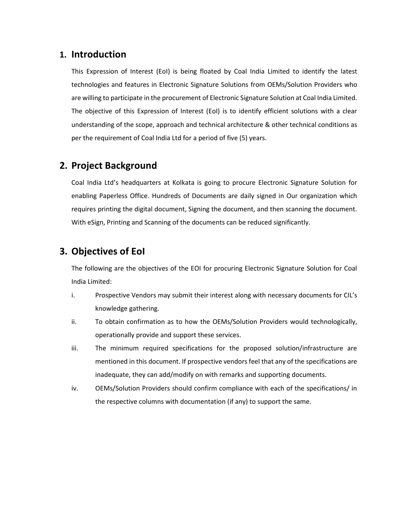### **1. Introduction**

This Expression of Interest (EoI) is being floated by Coal India Limited to identify the latest technologies and features in Electronic Signature Solutions from OEMs/Solution Providers who are willing to participate in the procurement of Electronic Signature Solution at Coal India Limited. The objective of this Expression of Interest (EoI) is to identify efficient solutions with a clear understanding of the scope, approach and technical architecture & other technical conditions as per the requirement of Coal India Ltd for a period of five (5) years.

## **2. Project Background**

Coal India Ltd's headquarters at Kolkata is going to procure Electronic Signature Solution for enabling Paperless Office. Hundreds of Documents are daily signed in Our organization which requires printing the digital document, Signing the document, and then scanning the document. With eSign, Printing and Scanning of the documents can be reduced significantly.

## **3. Objectives of EoI**

The following are the objectives of the EOI for procuring Electronic Signature Solution for Coal India Limited:

- i. Prospective Vendors may submit their interest along with necessary documents for CIL's knowledge gathering.
- ii. To obtain confirmation as to how the OEMs/Solution Providers would technologically, operationally provide and support these services.
- iii. The minimum required specifications for the proposed solution/infrastructure are mentioned in this document. If prospective vendors feel that any of the specifications are inadequate, they can add/modify on with remarks and supporting documents.
- iv. OEMs/Solution Providers should confirm compliance with each of the specifications/ in the respective columns with documentation (if any) to support the same.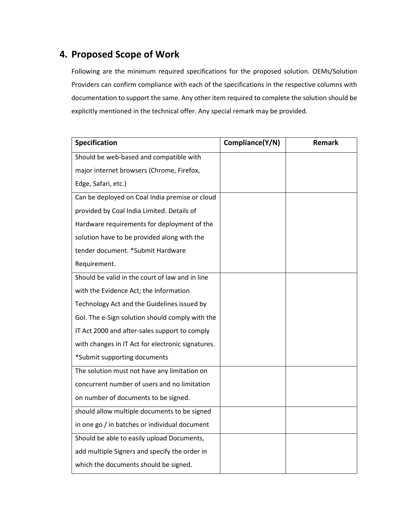## **4. Proposed Scope of Work**

Following are the minimum required specifications for the proposed solution. OEMs/Solution Providers can confirm compliance with each of the specifications in the respective columns with documentation to support the same. Any other item required to complete the solution should be explicitly mentioned in the technical offer. Any special remark may be provided.

| <b>Specification</b>                              | Compliance(Y/N) | <b>Remark</b> |
|---------------------------------------------------|-----------------|---------------|
| Should be web-based and compatible with           |                 |               |
| major internet browsers (Chrome, Firefox,         |                 |               |
| Edge, Safari, etc.)                               |                 |               |
| Can be deployed on Coal India premise or cloud    |                 |               |
| provided by Coal India Limited. Details of        |                 |               |
| Hardware requirements for deployment of the       |                 |               |
| solution have to be provided along with the       |                 |               |
| tender document. *Submit Hardware                 |                 |               |
| Requirement.                                      |                 |               |
| Should be valid in the court of law and in line   |                 |               |
| with the Evidence Act; the Information            |                 |               |
| Technology Act and the Guidelines issued by       |                 |               |
| Gol. The e-Sign solution should comply with the   |                 |               |
| IT Act 2000 and after-sales support to comply     |                 |               |
| with changes in IT Act for electronic signatures. |                 |               |
| *Submit supporting documents                      |                 |               |
| The solution must not have any limitation on      |                 |               |
| concurrent number of users and no limitation      |                 |               |
| on number of documents to be signed.              |                 |               |
| should allow multiple documents to be signed      |                 |               |
| in one go / in batches or individual document     |                 |               |
| Should be able to easily upload Documents,        |                 |               |
| add multiple Signers and specify the order in     |                 |               |
| which the documents should be signed.             |                 |               |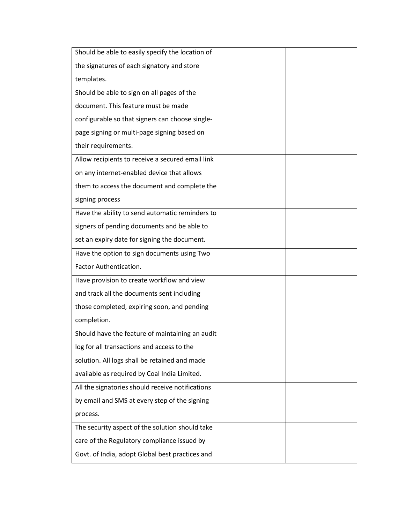| Should be able to easily specify the location of |
|--------------------------------------------------|
| the signatures of each signatory and store       |
| templates.                                       |
| Should be able to sign on all pages of the       |
| document. This feature must be made              |
| configurable so that signers can choose single-  |
| page signing or multi-page signing based on      |
| their requirements.                              |
| Allow recipients to receive a secured email link |
| on any internet-enabled device that allows       |
| them to access the document and complete the     |
| signing process                                  |
| Have the ability to send automatic reminders to  |
| signers of pending documents and be able to      |
| set an expiry date for signing the document.     |
| Have the option to sign documents using Two      |
| Factor Authentication.                           |
| Have provision to create workflow and view       |
| and track all the documents sent including       |
| those completed, expiring soon, and pending      |
| completion.                                      |
| Should have the feature of maintaining an audit  |
| log for all transactions and access to the       |
| solution. All logs shall be retained and made    |
| available as required by Coal India Limited.     |
| All the signatories should receive notifications |
| by email and SMS at every step of the signing    |
| process.                                         |
| The security aspect of the solution should take  |
| care of the Regulatory compliance issued by      |
| Govt. of India, adopt Global best practices and  |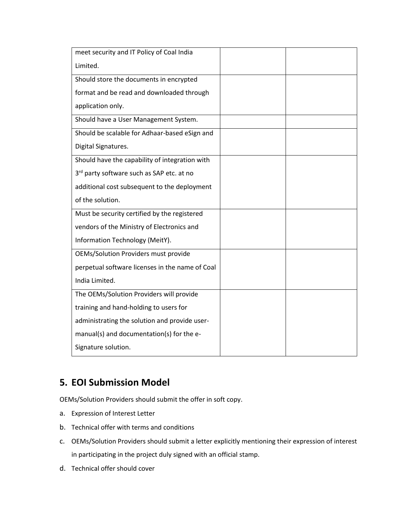| meet security and IT Policy of Coal India       |  |
|-------------------------------------------------|--|
| Limited.                                        |  |
| Should store the documents in encrypted         |  |
| format and be read and downloaded through       |  |
| application only.                               |  |
| Should have a User Management System.           |  |
| Should be scalable for Adhaar-based eSign and   |  |
| Digital Signatures.                             |  |
| Should have the capability of integration with  |  |
| 3rd party software such as SAP etc. at no       |  |
| additional cost subsequent to the deployment    |  |
| of the solution.                                |  |
| Must be security certified by the registered    |  |
| vendors of the Ministry of Electronics and      |  |
| Information Technology (MeitY).                 |  |
| <b>OEMs/Solution Providers must provide</b>     |  |
| perpetual software licenses in the name of Coal |  |
| India Limited.                                  |  |
| The OEMs/Solution Providers will provide        |  |
| training and hand-holding to users for          |  |
| administrating the solution and provide user-   |  |
| manual(s) and documentation(s) for the e-       |  |
| Signature solution.                             |  |

# **5. EOI Submission Model**

OEMs/Solution Providers should submit the offer in soft copy.

- a. Expression of Interest Letter
- b. Technical offer with terms and conditions
- c. OEMs/Solution Providers should submit a letter explicitly mentioning their expression of interest in participating in the project duly signed with an official stamp.
- d. Technical offer should cover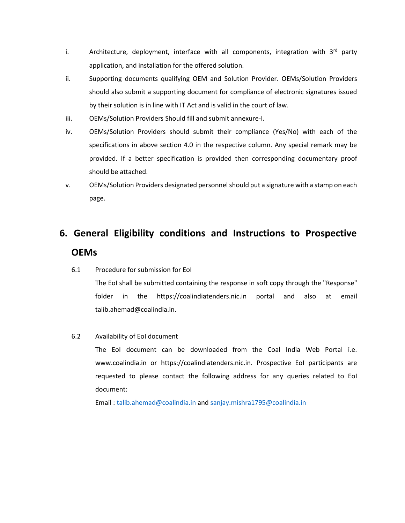- i. Architecture, deployment, interface with all components, integration with  $3<sup>rd</sup>$  party application, and installation for the offered solution.
- ii. Supporting documents qualifying OEM and Solution Provider. OEMs/Solution Providers should also submit a supporting document for compliance of electronic signatures issued by their solution is in line with IT Act and is valid in the court of law.
- iii. OEMs/Solution Providers Should fill and submit annexure-I.
- iv. OEMs/Solution Providers should submit their compliance (Yes/No) with each of the specifications in above section 4.0 in the respective column. Any special remark may be provided. If a better specification is provided then corresponding documentary proof should be attached.
- v. OEMs/Solution Providers designated personnel should put a signature with a stamp on each page.

# **6. General Eligibility conditions and Instructions to Prospective OEMs**

6.1 Procedure for submission for EoI

The EoI shall be submitted containing the response in soft copy through the "Response" folder in the https://coalindiatenders.nic.in portal and also at email talib.ahemad@coalindia.in.

#### 6.2 Availability of EoI document

The EoI document can be downloaded from the Coal India Web Portal i.e. www.coalindia.in or https://coalindiatenders.nic.in. Prospective EoI participants are requested to please contact the following address for any queries related to EoI document:

Email : [talib.ahemad@coalindia.in](mailto:talib.ahemad@coalindia.in) and [sanjay.mishra1795@coalindia.in](mailto:sanjay.mishra1795@coalindia.in)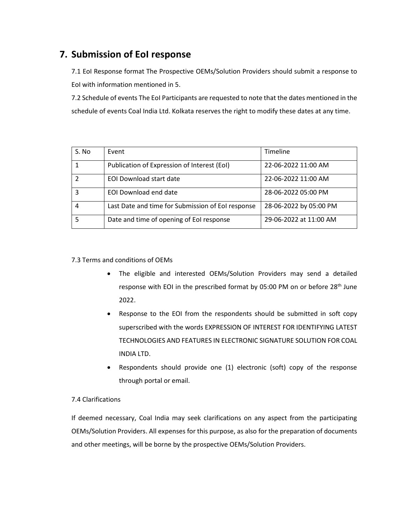## **7. Submission of EoI response**

7.1 EoI Response format The Prospective OEMs/Solution Providers should submit a response to EoI with information mentioned in 5.

7.2 Schedule of events The EoI Participants are requested to note that the dates mentioned in the schedule of events Coal India Ltd. Kolkata reserves the right to modify these dates at any time.

| S. No | Event                                             | Timeline               |
|-------|---------------------------------------------------|------------------------|
|       | Publication of Expression of Interest (EoI)       | 22-06-2022 11:00 AM    |
|       | <b>EOI Download start date</b>                    | 22-06-2022 11:00 AM    |
|       | EOI Download end date                             | 28-06-2022 05:00 PM    |
|       | Last Date and time for Submission of EoI response | 28-06-2022 by 05:00 PM |
|       | Date and time of opening of EoI response          | 29-06-2022 at 11:00 AM |

7.3 Terms and conditions of OEMs

- The eligible and interested OEMs/Solution Providers may send a detailed response with EOI in the prescribed format by 05:00 PM on or before 28<sup>th</sup> June 2022.
- Response to the EOI from the respondents should be submitted in soft copy superscribed with the words EXPRESSION OF INTEREST FOR IDENTIFYING LATEST TECHNOLOGIES AND FEATURES IN ELECTRONIC SIGNATURE SOLUTION FOR COAL INDIA LTD.
- Respondents should provide one (1) electronic (soft) copy of the response through portal or email.

#### 7.4 Clarifications

If deemed necessary, Coal India may seek clarifications on any aspect from the participating OEMs/Solution Providers. All expenses for this purpose, as also for the preparation of documents and other meetings, will be borne by the prospective OEMs/Solution Providers.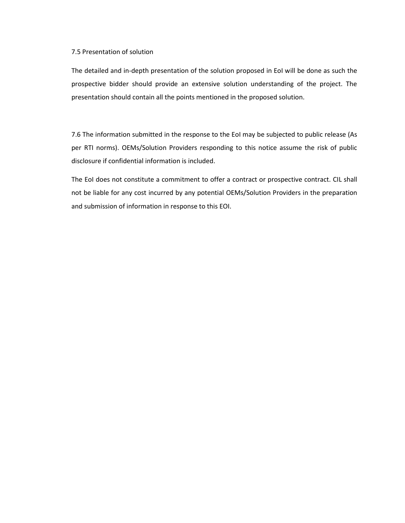#### 7.5 Presentation of solution

The detailed and in-depth presentation of the solution proposed in EoI will be done as such the prospective bidder should provide an extensive solution understanding of the project. The presentation should contain all the points mentioned in the proposed solution.

7.6 The information submitted in the response to the EoI may be subjected to public release (As per RTI norms). OEMs/Solution Providers responding to this notice assume the risk of public disclosure if confidential information is included.

The EoI does not constitute a commitment to offer a contract or prospective contract. CIL shall not be liable for any cost incurred by any potential OEMs/Solution Providers in the preparation and submission of information in response to this EOI.